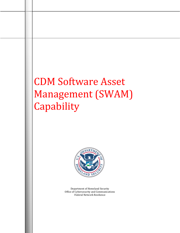# CDM Software Asset Management (SWAM) Capability



Department of Homeland Security Office of Cybersecurity and Communications Federal Network Resilience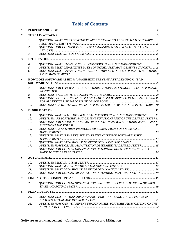# **Table of Contents**

| 1 |                 |                                                                                                                                                           |  |  |  |
|---|-----------------|-----------------------------------------------------------------------------------------------------------------------------------------------------------|--|--|--|
| 2 |                 |                                                                                                                                                           |  |  |  |
|   | $\mathcal{I}$ . | QUESTION: WHAT TYPES OF ATTACKS ARE WE TRYING TO ADDRESS WITH SOFTWARE                                                                                    |  |  |  |
|   | 2.              | QUESTION: HOW DOES SOFTWARE ASSET MANAGEMENT ADDRESS THESE TYPES OF                                                                                       |  |  |  |
|   | 3.              |                                                                                                                                                           |  |  |  |
| 3 |                 |                                                                                                                                                           |  |  |  |
|   | 4.              |                                                                                                                                                           |  |  |  |
|   | 5.              | <b>QUESTION: WHAT CAPABILITIES DOES SOFTWARE ASSET MANAGEMENT SUPPORT?8</b>                                                                               |  |  |  |
|   | 6.              | QUESTION: WHAT CAPABILITIES PROVIDE "COMPENSATING CONTROLS" TO SOFTWARE                                                                                   |  |  |  |
| 4 |                 | HOW DOES SOFTWARE ASSET MANAGEMENT PREVENT ATTACKS FROM "BAD"                                                                                             |  |  |  |
|   |                 |                                                                                                                                                           |  |  |  |
|   | 7.              | QUESTION: HOW CAN MALICIOUS SOFTWARE BE MANAGED THROUGH BLACKLISTS AND                                                                                    |  |  |  |
|   | 8.              |                                                                                                                                                           |  |  |  |
|   | 9.              | QUESTION: SHOULD THE BLACKLIST AND WHITELIST BE APPLIED IN THE SAME MANNER                                                                                |  |  |  |
|   | 10.             | <b>QUESTION: ARE WHITELISTS OR BLACKLISTS BETTER FOR BLOCKING BAD SOFTWARE? 10</b>                                                                        |  |  |  |
|   |                 |                                                                                                                                                           |  |  |  |
| 5 |                 |                                                                                                                                                           |  |  |  |
|   | 11.             | QUESTION: WHAT IS THE DESIRED STATE FOR SOFTWARE ASSET MANAGEMENT? 11                                                                                     |  |  |  |
|   | 12.<br>13.      | QUESTION: ARE SOFTWARE MANAGEMENT FUNCTIONS PART OF THE DESIRED STATE? 11<br><b>QUESTION: HOW SHOULD/COULD AN ORGANIZATION ASSIGN SOFTWARE MANAGEMENT</b> |  |  |  |
|   |                 |                                                                                                                                                           |  |  |  |
|   | 14.             | QUESTION: ARE ANTIVIRUS PRODUCTS DIFFERENT FROM SOFTWARE ASSET                                                                                            |  |  |  |
|   | 15.             | <b>OUESTION: WHAT IS THE DESIRED STATE INVENTORY FOR SOFTWARE ASSET</b>                                                                                   |  |  |  |
|   | 16.             | QUESTION: WHAT DATA SHOULD BE RECORDED IN DESIRED STATE?14                                                                                                |  |  |  |
|   | 17.             | <b>QUESTION: HOW DOES AN ORGANIZATION DETERMINE ITS DESIRED STATE?  15</b>                                                                                |  |  |  |
|   | 18.             | QUESTION: HOW DOES AN ORGANIZATION DETERMINE WHEN CHANGES NEED TO BE                                                                                      |  |  |  |
|   |                 |                                                                                                                                                           |  |  |  |
| 6 |                 |                                                                                                                                                           |  |  |  |
|   | 19.             |                                                                                                                                                           |  |  |  |
|   | 20.             |                                                                                                                                                           |  |  |  |
|   | 21.<br>22.      | QUESTION: WHAT DATA SHOULD BE RECORDED IN ACTUAL STATE? 18<br><b>QUESTION: HOW DOES AN ORGANIZATION DETERMINE ITS ACTUAL STATE?19</b>                     |  |  |  |
|   |                 |                                                                                                                                                           |  |  |  |
| 7 |                 |                                                                                                                                                           |  |  |  |
|   | 23.             | QUESTION: HOW DOES AN ORGANIZATION FIND THE DIFFERENCE BETWEEN DESIRED                                                                                    |  |  |  |
| 8 |                 |                                                                                                                                                           |  |  |  |
|   | 24.             | <b>QUESTION: WHAT OPTIONS ARE AVAILABLE FOR ADDRESSING THE DIFFERENCES</b>                                                                                |  |  |  |
|   | 25.             | QUESTION: HOW CAN WE PREVENT UNAUTHORIZED SOFTWARE FROM GETTING ON THE                                                                                    |  |  |  |
|   |                 |                                                                                                                                                           |  |  |  |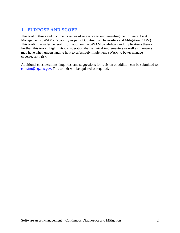## <span id="page-2-0"></span>**1 PURPOSE AND SCOPE**

This tool outlines and documents issues of relevance to implementing the Software Asset Management (SWAM) Capability as part of Continuous Diagnostics and Mitigation (CDM). This toolkit provides general information on the SWAM capabilities and implications thereof. Further, this toolkit highlights consideration that technical implementers as well as managers may have when understanding how to effectively implement SWAM to better manage cybersecurity risk.

Additional considerations, inquiries, and suggestions for revision or addition can be submitted to: [cdm.fnr@hq.dhs.gov.](mailto:cdm.fnr@hq.dhs.gov) This toolkit will be updated as required.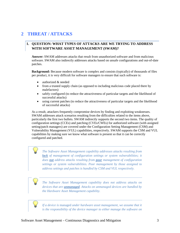## <span id="page-3-1"></span><span id="page-3-0"></span>**2 THREAT / ATTACKS**

#### **1. QUESTION: WHAT TYPES OF ATTACKS ARE WE TRYING TO ADDRESS WITH SOFTWARE ASSET MANAGEMENT (SWAM)?**

**Answer:** SWAM addresses attacks that result from unauthorized software and from malicious software. SWAM also indirectly addresses attacks based on unsafe configurations and out-of-date patches.

**Background:** Because modern software is complex and consists (typically) of thousands of files per product, it is very difficult for software managers to ensure that such software is:

- authorized & needed
- from a trusted supply chain (as opposed to including malicious code placed there by malefactors)
- safely configured (to reduce the attractiveness of particular targets and the likelihood of successful attacks)
- using current patches (to reduce the attractiveness of particular targets and the likelihood of successful attacks)

As a result, attackers frequently compromise devices by finding and exploiting weaknesses. SWAM addresses attack scenarios resulting from the difficulties related to the items above, particularly the first two bullets. SWAM indirectly supports the second two items. The quality of configuration settings (CCEs) and patching (CVEs/CWEs) for authorized software (with assigned setting/patch managers) are covered under the Configuration Setting Management (CSM) and Vulnerability Management (VUL) capabilities, respectively. SWAM supports the CSM and VUL capabilities by making sure we know what software is present so that it can be correctly configured and patched.

*The Software Asset Management capability addresses attacks resulting from lack of management of configuration settings or system vulnerabilities; it does not address attacks resulting from poor management of configuration settings or system vulnerabilities. Poor management by those assigned to address settings and patches is handled by CSM and VUL respectively.* 

*The Software Asset Management capability does not address attacks on devices that are unmanaged. Attacks on unmanaged devices are handled by the Hardware Asset Management capability.* 

*If a device is* managed *under hardware asset management, we assume that it is the responsibility of the device manager to either manage the software on*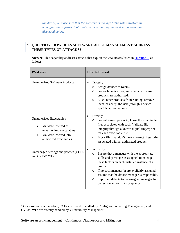*the device, or make sure that the software is managed. The roles involved in managing the software that might be delegated by the device manager are discussed below.* 

## <span id="page-4-0"></span>**2. QUESTION: HOW DOES SOFTWARE ASSET MANAGEMENT ADDRESS THESE TYPES OF ATTACKS?**

Answer: This capability addresses attacks that exploit the weaknesses listed in **Question 1**, as follows:

| <b>Weakness</b>                                                                                                                       | <b>How Addressed</b>                                                                                                                                                                                                                                                                                                                                                                                           |  |
|---------------------------------------------------------------------------------------------------------------------------------------|----------------------------------------------------------------------------------------------------------------------------------------------------------------------------------------------------------------------------------------------------------------------------------------------------------------------------------------------------------------------------------------------------------------|--|
| <b>Unauthorized Software Products</b>                                                                                                 | Directly<br>Assign devices to role(s).<br>O<br>For each device role, know what software<br>$\circ$<br>products are authorized.<br>Block other products from running, remove<br>$\circ$<br>them, or accept the risk (through a device-<br>specific authorization).                                                                                                                                              |  |
| <b>Unauthorized Executables</b><br>Malware inserted as<br>unauthorized executables<br>Malware inserted into<br>authorized executables | Directly<br>$\bullet$<br>For authorized products, know the executable<br>$\circ$<br>files associated with each. Validate file<br>integrity through a known digital fingerprint<br>for each executable file.<br>Block files that don't have a correct fingerprint<br>O<br>associated with an authorized product.                                                                                                |  |
| Unmanaged settings and patches (CCEs<br>and CVEs/CWEs) <sup>1</sup>                                                                   | Indirectly<br>$\bullet$<br>Ensure that a manager with the appropriate<br>$\circ$<br>skills and privileges is assigned to manage<br>these factors on each installed instance of a<br>product.<br>If no such manager(s) are explicitly assigned,<br>$\circ$<br>assume that the device manager is responsible.<br>Report all defects to the assigned manager for<br>$\circ$<br>correction and/or risk acceptance. |  |

 $\overline{a}$ 

<span id="page-4-1"></span><sup>&</sup>lt;sup>1</sup> Once software is identified, CCEs are directly handled by Configuration Setting Management, and CVEs/CWEs are directly handled by Vulnerability Management.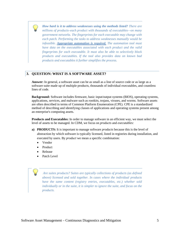*How hard is it to address weaknesses using the methods listed? There are millions of products–each product with thousands of executables—on many government networks. The fingerprints for each executable may change with each patch. Performing the tasks to address weaknesses manually would be infeasible. Appropriate automation is required. The automation tool must have data on the executables associated with each product and the valid fingerprints for each executable. It must also be able to selectively block products and executables. If the tool also provides data on known bad products and executables it further simplifies the process.*

#### <span id="page-5-0"></span>**3. QUESTION: WHAT IS A SOFTWARE ASSET?**

**Answer:** In general, a software asset can be as small as a line of source code or as large as a software suite made up of multiple products, thousands of individual executables, and countless lines of code.

**Background:** Software includes firmware, basic input/output systems (BIOS), operating systems, applications, services, and malware such as rootkits, trojans, viruses, and worms. Software assets are often described in terms of Common Platform Enumeration (CPE). CPE is a standardized method of describing and identifying classes of applications and operating systems present among an enterprise's computing assets.

**Products and Executables:** In order to manage software in an efficient way, we must select the level of assets to be managed. In CDM, we focus on *products* and *executables:*

- **a) PRODUCTS:** It is important to manage software *products* because this is the level of abstraction by which software is typically licensed, listed in registries during installation, and executed by users. By *product* we mean a specific combination:
	- Vendor
	- Product
	- Release
	- Patch Level

*Are suites products? Suites are typically collections of products (as defined above) licensed and sold together. In cases where the individual products have the same content (registry entries, executables, etc.) whether sold individually or in the suite, it is simpler to ignore the suite, and focus on the products.*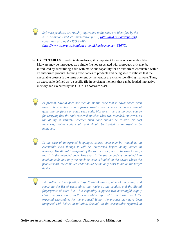*Software products are roughly equivalent to the software identified by the NIST Common Product Enumeration (CPE) (http://nvd.nist.gov/cpe.cfm) codes, and also by the ISO SWIDs [\(http://www.iso.org/iso/catalogue\\_detail.htm?csnumber=53670\)](http://www.iso.org/iso/catalogue_detail.htm?csnumber=53670).*

**b) EXECUTABLES:** To eliminate malware, it is important to focus on executable files. Malware may be introduced as a single file not associated with a product, or it may be introduced by substituting a file with malicious capability for an authorized executable within an authorized product. Linking executables to products and being able to validate that the executable present is the same one sent by the vendor are vital to identifying malware. Thus, an executable defined as "a specific file in persistent memory that can be loaded into active memory and executed by the CPU" is a software asset.

*At present, SWAM does not include mobile code that is downloaded each time it is executed as a software asset since network managers cannot generally configure or patch such code. Moreover, there is no good source for verifying that the code received matches what was intended. However, as the ability to validate whether such code should be trusted (or not) improves, mobile code could and should be treated as an asset to be managed.* 

*In the case of interpreted languages, source code may be treated as an executable even though it will be interpreted before being loaded in memory. The digital fingerprint of the source code file can be used to verify that it is the intended code. However, if the source code is compiled into machine code and only the machine code is loaded on the device where the product runs, the compiled code should be the only asset found on the target device.*

*ISO software identification tags (SWIDs) are capable of recording and reporting the list of executables that make up the product and the digital fingerprints of each file. This capability supports two meaningful supply chain analyses: First, do the executables reported in the SWID match the expected executables for the product? If not, the product may have been tampered with before installation. Second, do the executables reported in*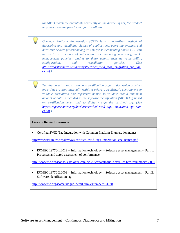*the SWID match the executables currently on the device? If not, the product may have been tampered with after installation.* 

*Common Platform Enumeration (CPE) is a standardized method of describing and identifying classes of applications, operating systems, and hardware devices present among an enterprise's computing assets. CPE can be used as a source of information for enforcing and verifying IT management policies relating to these assets, such as vulnerability, configuration, and remediation policies. (See [https://register.mitre.org/devdays/certified\\_swid\\_tags\\_integration\\_cpe\\_nam](https://register.mitre.org/devdays/certified_swid_tags_integration_cpe_names.pdf) [es.pdf.](https://register.mitre.org/devdays/certified_swid_tags_integration_cpe_names.pdf))* 

*TagVault.org is a registration and certification organization which provides tools that are used internally within a software publisher's environment to validate normalized and registered names, to validate that a minimum amount of data is included in the software identification (SWID) tag based on certification level, and to digitally sign the certified tag. (See [https://register.mitre.org/devdays/certified\\_swid\\_tags\\_integration\\_cpe\\_nam](https://register.mitre.org/devdays/certified_swid_tags_integration_cpe_names.pdf) [es.pdf.](https://register.mitre.org/devdays/certified_swid_tags_integration_cpe_names.pdf))* 

#### **Links to Related Resources**

• Certified SWID Tag Integration with Common Platform Enumeration names

[https://register.mitre.org/devdays/certified\\_swid\\_tags\\_integration\\_cpe\\_names.pdf](https://register.mitre.org/devdays/certified_swid_tags_integration_cpe_names.pdf)

• ISO/IEC 19770-1:2012 -- Information technology -- Software asset management -- Part 1: Processes and tiered assessment of conformance

[http://www.iso.org/iso/iso\\_catalogue/catalogue\\_ics/catalogue\\_detail\\_ics.htm?csnumber=56000](http://www.iso.org/iso/iso_catalogue/catalogue_ics/catalogue_detail_ics.htm?csnumber=56000)

• ISO/IEC 19770-2:2009 -- Information technology -- Software asset management -- Part 2: Software identification tag

[http://www.iso.org/iso/catalogue\\_detail.htm?csnumber=53670](http://www.iso.org/iso/catalogue_detail.htm?csnumber=53670)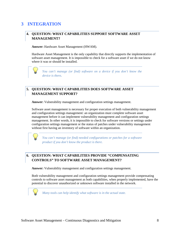# <span id="page-8-1"></span><span id="page-8-0"></span>**3 INTEGRATION**

#### **4. QUESTION: WHAT CAPABILITIES SUPPORT SOFTWARE ASSET MANAGEMENT?**

**Answer:** Hardware Asset Management (HWAM).

Hardware Asset Management is the only capability that directly supports the implementation of software asset management. It is impossible to check for a software asset if we do not know where it was or should be installed.

*You can't manage (or find) software on a device if you don't know the device is there.*

#### <span id="page-8-2"></span>**5. QUESTION: WHAT CAPABILITIES DOES SOFTWARE ASSET MANAGEMENT SUPPORT?**

**Answer:** Vulnerability management and configuration settings management.

Software asset management is necessary for proper execution of both vulnerability management and configuration settings management: an organization must complete software asset management before it can implement vulnerability management and configuration settings management. In other words, it is impossible to check for software versions or settings under configuration settings management or the status of patches under vulnerability management without first having an inventory of software within an organization.

*You can't manage (or find) needed configurations or patches for a software product if you don't know the product is there.* 

#### <span id="page-8-3"></span>**6. QUESTION: WHAT CAPABILITIES PROVIDE "COMPENSATING CONTROLS" TO SOFTWARE ASSET MANAGEMENT?**

**Answer:** Vulnerability management and configuration settings management.

Both vulnerability management and configuration settings management provide compensating controls to software asset management as both capabilities, when properly implemented, have the potential to discover unauthorized or unknown software installed in the network.

*Many tools can help identify what software is in the actual state.*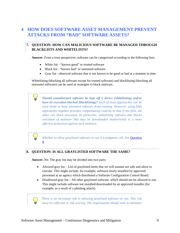## <span id="page-9-0"></span>**4 HOW DOES SOFTWARE ASSET MANAGEMENT PREVENT ATTACKS FROM "BAD" SOFTWARE ASSETS?**

## <span id="page-9-1"></span>**7. QUESTION: HOW CAN MALICIOUS SOFTWARE BE MANAGED THROUGH BLACKLISTS AND WHITELISTS?**

**Answer:** From a trust perspective, software can be categorized according to the following lists:

- White list "known good" or trusted software
- Black list "known bad" or untrusted software
- Gray list observed software that is not known to be good or bad at a moment in time

Whitelisting (blocking all software except for trusted software) and blacklisting (blocking all untrusted software) can be used as strategies to block malware.

*Should unauthorized software be kept off a device (whitelisting) and/or have its execution blocked (blacklisting)? Each of these approaches can be used alone to keep untrusted software from running. However, using both approaches together provides compensating controls so that if one fails, the other can block execution. In particular, whitelisting software that blocks execution of malware that may be downloaded inadvertently is a more effective protection against such malware.* 

*Whether to allow graylisted software to run is a judgment call. Se[e Question](#page-9-2)  [8.](#page-9-2)* 

#### <span id="page-9-2"></span>**8. QUESTION: IS ALL GRAYLISTED SOFTWARE THE SAME?**

**Answer:** No. The gray list may be divided into two parts:

- Allowed gray list List of graylisted items that we will assume are safe and allow to execute. This might include, for example, software newly installed by approved personnel at an agency which distributed a Software Configuration Control Board.
- Disallowed gray list All other graylisted software, which should not be allowed to run. This might include software not installed/downloaded by an approved installer (for example, as a result of a phishing attack).

 *There is an increased risk in allowing graylisted software to run. This risk must be reflected in risk scoring. The organization should seek to minimize*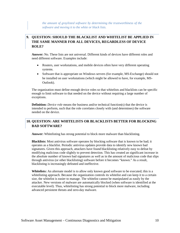*the amount of graylisted software by determining the trustworthiness of the software and moving it to the white or black lists.* 

## <span id="page-10-0"></span>**9. QUESTION: SHOULD THE BLACKLIST AND WHITELIST BE APPLIED IN THE SAME MANNER FOR ALL DEVICES, REGARDLESS OF DEVICE ROLE?**

**Answer:** No. These lists are not universal. Different kinds of devices have different roles and need different software. Examples include:

- Routers, user workstations, and mobile devices often have very different operating systems.
- Software that is appropriate on Windows servers (for example, MS-Exchange) should not be installed on user workstations (which might be allowed to have, for example, MS-Outlook).

The organization must define enough device roles so that whitelists and blacklists can be specific enough to limit software to that needed on the device without requiring a large number of exceptions.

**Definition:** *Device role* means the business and/or technical function(s) that the device is intended to perform, such that the role correlates closely with (and determines) the software needed on the device.

#### <span id="page-10-1"></span>**10. QUESTION: ARE WHITELISTS OR BLACKLISTS BETTER FOR BLOCKING BAD SOFTWARE?**

**Answer:** Whitelisting has strong potential to block more malware than blacklisting.

**Blacklists:** Most antivirus software operates by blocking software that is known to be bad; it operates as a blacklist. Periodic antivirus updates provide data to identify new known bad signatures. Given this approach, attackers have found blacklisting relatively easy to defeat by modifying malicious code slightly to prevent detection. This has created an significant increase in the absolute number of known bad signatures as well as in the amount of malicious code that slips through antivirus (or other blacklisting) software before it becomes "known." As a result, blacklisting is increasingly defeated and ineffective.

**Whitelists:** An alternate model is to allow only known good software to be executed; this is a whitelisting approach. Because the organization controls its whitelist and can keep it to a certain size, the whitelist is easier to manage. The whitelist cannot be manipulated as easily by the attacker. New versions of malware are automatically blocked (when software is identified at the executable level). Thus, whitelisting has strong potential to block more malware, including advanced persistent threats and zero-day malware.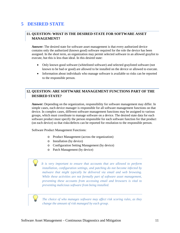## <span id="page-11-1"></span><span id="page-11-0"></span>**5 DESIRED STATE**

#### **11. QUESTION: WHAT IS THE DESIRED STATE FOR SOFTWARE ASSET MANAGEMENT?**

**Answer:** The desired state for software asset management is that every authorized device contains only the authorized (known good) software required for the role the device has been assigned. In the short term, an organization may permit selected software in an allowed graylist to execute, but this is less than ideal. In this desired state:

- Only known good software (whitelisted software) and selected graylisted software (not known to be bad or good) are allowed to be installed on the device or allowed to execute.
- Information about individuals who manage software is available so risks can be reported to the responsible person.

#### <span id="page-11-2"></span>**12. QUESTION: ARE SOFTWARE MANAGEMENT FUNCTIONS PART OF THE DESIRED STATE?**

**Answer:** Depending on the organization, responsibility for software management may differ. In simple cases, each device manager is responsible for all software management functions on that device. In complex cases, different software management functions may be assigned to various groups, which must coordinate to manage software on a device. The desired state data for each software product must specify the person responsible for each software function for that product (on each device) so that risks/defects can be reported for resolution to the responsible person.

Software Product Management Functions:

- o Product Management (across the organization)
- o Installation (by device)
- o Configuration Setting Management (by device)
- o Patch Management (by device)

 *It is very important to ensure that accounts that are allowed to perform installation, configuration settings, and patching do not become infected by malware that might typically be delivered via email and web browsing. While these activities are not formally part of software asset management, preventing these accounts from accessing email and browsers is vital to preventing malicious software from being installed.* 

 *The choice of who manages software may affect risk scoring rules, as they change the amount of risk managed by each group.*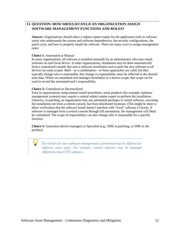#### <span id="page-12-0"></span>**13. QUESTION: HOW SHOULD/COULD AN ORGANIZATION ASSIGN SOFTWARE MANAGEMENT FUNCTIONS AND ROLES?**

**Answer:** Organizations should select a subject matter expert for the application (role or software suite) who understands the system and software dependencies, the security configurations, the patch cycle, and how to properly install the software. There are many ways to assign management tasks:

#### **Choice 1:** Automated or Manual

In many organizations, all software is installed *manually* by an administrator who runs install software on each local device. In other organizations, installation may be done *automatically* from a centralized console that uses a software installation tool to push the new software to all devices (in some scope). Both—or a combination—of these approaches are valid, but they typically change who is responsible; this change in responsibility must be reflected in the desired state data. Where an automated tool manages installation in a known scope, that scope can be used to record the automated tool's responsibility.

#### **Choice 2:** Centralized or Decentralized

Even in organizations using manual install procedures, some products (for example, database management systems) may require a central subject matter expert to perform the installation. Likewise, in patching, an organization may use automated *packages* to install software, executing the installation not from a central console, but from distributed locations. (This might be done to allow verification that the software install doesn't interfere with "local" software.) Clearly, if software is managed from a central console through full automation, the management will likely be centralized. The scope of responsibility can also change who is responsible for a specific function.

**Choice 3:** Generalist (device manager) or Specialist (e.g., SME in patching, or SME in the product)

 *The choices for how software management is performed may be different for different asset types. For example, custom software may be managed differently than COTS software.*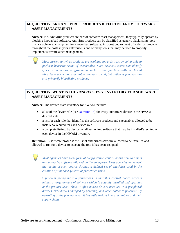#### <span id="page-13-0"></span>**14. QUESTION: ARE ANTIVIRUS PRODUCTS DIFFERENT FROM SOFTWARE ASSET MANAGEMENT?**

**Answer:** No. Antivirus products are part of software asset management; they typically operate by blocking known bad software**.** Antivirus products can be classified as generic blacklisting tools that are able to scan a system for known bad software. A robust deployment of antivirus products throughout the hosts in your enterprise is one of many tools that may be used to properly implement software asset management.

*Most current antivirus products are evolving towards trust by being able to perform heuristic scans of executables. Such heuristic scans can identify types of malicious programming such as the function calls or linked libraries a particular executable attempts to call, but antivirus products are still primarily blacklisting products.* 

#### <span id="page-13-1"></span>**15. QUESTION: WHAT IS THE** *DESIRED STATE* **INVENTORY FOR SOFTWARE ASSET MANAGEMENT?**

**Answer:** The desired state inventory for SWAM includes

- a list of the device role (se[e Question 13\)](#page-12-0) for every authorized device in the HWAM desired state
- a list for each role that identifies the software products and executables allowed to be installed/executed for each device role
- a complete listing, by device, of all authorized software that may be installed/executed on each device in the HWAM inventory

**Definition:** A software profile is the list of authorized software allowed to be installed and allowed to run for a device to execute the role it has been assigned.

 *Most agencies have some form of configuration control board able to assess and authorize software allowed on the enterprise. Most agencies implement the results of such boards through a defined set of checklists used in the creation of standard systems of predefined roles.* 

 *A problem facing most organizations is that this control board process misses a large amount of software which is actually installed and operates at the product level. Thus, it often misses drivers installed with peripheral devices, executables changed by patching, and other software products. By operating at the product level, it has little insight into executables and their supply chain.*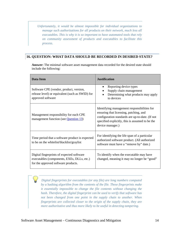*Unfortunately, it would be almost impossible for individual organizations to manage such authorizations for all products on their network, much less all executables. This is why it is so important to have automated tools that rely on community assessment of products and executables to facilitate this process.*

#### <span id="page-14-0"></span>**16. QUESTION: WHAT DATA SHOULD BE RECORDED IN DESIRED STATE?**

**Answer:** The minimal software asset management data recorded for the desired state should include the following:

| <b>Data Item</b>                                                                                                               | <b>Justification</b>                                                                                                                                                                                            |  |
|--------------------------------------------------------------------------------------------------------------------------------|-----------------------------------------------------------------------------------------------------------------------------------------------------------------------------------------------------------------|--|
| Software CPE (vendor, product, version,<br>release level) or equivalent (such as SWID) for<br>approved software                | Reporting device types<br>Supply chain management<br>Determining what products may apply<br>to devices                                                                                                          |  |
| Management responsibility for each CPE<br>management function (see Question 13)                                                | Identifying management responsibilities for<br>ensuring that licensing, patching, and<br>configuration standards are up-to-date. (If not<br>specified explicitly, this is assumed to be the<br>device manager.) |  |
| Time period that a software product is expected<br>to be on the whitelist/blacklist/graylist                                   | For identifying the life span of a particular<br>authorized software product. (All authorized<br>software must have a "remove by" date.)                                                                        |  |
| Digital fingerprints of expected software<br>executables (components, EXEs, DLLs, etc.)<br>for the approved software products. | To identify when the executable may have<br>changed, meaning it may no longer be "good"                                                                                                                         |  |

<span id="page-14-1"></span> *Digital fingerprints for executables (or any file) are long numbers computed by a* hashing *algorithm from the contents of the file. These fingerprints make it essentially impossible to change the file contents without changing the hash. Therefore, the digital fingerprint can be used to verify that software has not been changed from one point in the supply chain to another. When fingerprints are collected closer to the origin of the supply chain, they are more authoritative and thus more likely to be useful in detecting tampering.*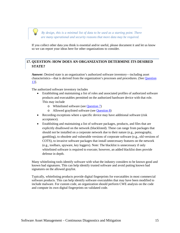

 *By design, this is a minimal list of data to be used as a starting point. There are many operational and security reasons that more data may be required.* 

If you collect other data you think is essential and/or useful, please document it and let us know so we can report your ideas here for other organizations to consider.

### <span id="page-15-0"></span>**17. QUESTION: HOW DOES AN ORGANIZATION DETERMINE ITS DESIRED STATE?**

**Answer:** Desired state is an organization's authorized software inventory—including asset characteristics—that is derived from the organization's processes and procedures. (See [Question](#page-12-0)  [13\]](#page-12-0).

The authorized software inventory includes

- Establishing and maintaining a list of roles and associated profiles of authorized software products and executables permitted on the authorized hardware device with that role. This may include
	- o Whitelisted software (see [Question 7\)](#page-9-1)
	- o Allowed graylisted software (see [Question 8\)](#page-9-2)
- Recording exceptions where a specific device may have additional software (risk) acceptance).
- Establishing and maintaining a list of software packages, products, and files that are explicitly disallowed on the network (blacklisted). These can range from packages that should not be installed on a corporate network due to their nature (e.g., pornography, gambling), to obsolete and vulnerable versions of corporate software (e.g., old versions of COTS), to invasive software packages that install unnecessary features on the network (e.g., toolbars, spyware, key loggers). Note: The blacklist is unnecessary if only whitelisted software is required to execute; however, an added blacklist does provide defense in depth.

Many whitelisting tools identify software with what the industry considers to be known good and known bad signatures. This can help identify trusted software and avoid putting known bad signatures on the allowed graylist.

Typically, whitelisting products provide digital fingerprints for executables in most commercial software products. This can help identify software executables that may have been modified to include malware. For custom code, an organization should perform CWE analysis on the code and compute its own digital fingerprints on validated code.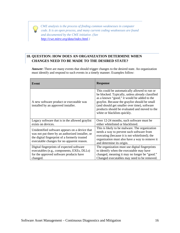

 *CWE analysis is the process of finding common weaknesses in computer code. It is an open process, and many current coding weaknesses are found and documented by the CWE initiative. (See [http://cwe.mitre.org/data/index.html.](http://cwe.mitre.org/data/index.html))* 

## <span id="page-16-0"></span>**18. QUESTION: HOW DOES AN ORGANIZATION DETERMINE WHEN CHANGES NEED TO BE MADE TO THE DESIRED STATE?**

**Answer:** There are many events that should trigger changes to the desired state. An organization must identify and respond to such events in a timely manner. Examples follow:

| Event                                                                                                                                                                                             | <b>Response</b>                                                                                                                                                                                                                                                                                                                     |  |
|---------------------------------------------------------------------------------------------------------------------------------------------------------------------------------------------------|-------------------------------------------------------------------------------------------------------------------------------------------------------------------------------------------------------------------------------------------------------------------------------------------------------------------------------------|--|
| A new software product or executable was<br>installed by an approved installer.                                                                                                                   | This could be automatically allowed to run or<br>be blocked. Typically, unless already classified<br>as a known "good," it would be added to the<br>graylist. Because the graylist should be small<br>(and should get smaller over time), software<br>products should be evaluated and moved to the<br>white or blacklists quickly. |  |
| Legacy software that is in the allowed graylist                                                                                                                                                   | Over 12-24 months, such software must be                                                                                                                                                                                                                                                                                            |  |
| exists on devices.                                                                                                                                                                                | either whitelisted or blacklisted.                                                                                                                                                                                                                                                                                                  |  |
| Unidentified software appears on a device that<br>was not put there by an authorized installer, or<br>the digital fingerprint of a formerly trusted<br>executable changes for no apparent reason. | This is likely to be malware. The organization<br>needs a way to prevent such software from<br>executing (because it is not whitelisted); the<br>organization must also have a way to remove it<br>and determine its origin.                                                                                                        |  |
| Digital fingerprints of expected software                                                                                                                                                         | The organization must use digital fingerprints                                                                                                                                                                                                                                                                                      |  |
| executables (e.g., components, EXEs, DLLs)                                                                                                                                                        | to identify when the executable may have                                                                                                                                                                                                                                                                                            |  |
| for the approved software products have                                                                                                                                                           | changed, meaning it may no longer be "good."                                                                                                                                                                                                                                                                                        |  |
| changed.                                                                                                                                                                                          | Changed executables may need to be removed.                                                                                                                                                                                                                                                                                         |  |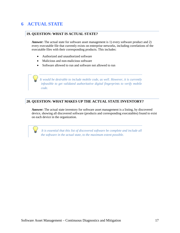# <span id="page-17-0"></span>**6 ACTUAL STATE**

#### <span id="page-17-1"></span>**19. QUESTION: WHAT IS ACTUAL STATE?**

**Answer:** The actual state for software asset management is 1) every software product and 2) every executable file that currently exists on enterprise networks, including correlations of the executable files with their corresponding products. This includes:

- Authorized and unauthorized software
- Malicious and non-malicious software
- Software allowed to run and software not allowed to run

 *It would be desirable to include mobile code, as well. However, it is currently infeasible to get validated authoritative digital fingerprints to verify mobile code.* 

#### <span id="page-17-2"></span>**20. QUESTION: WHAT MAKES UP THE ACTUAL STATE INVENTORY?**

Answer: The actual state inventory for software asset management is a listing, by discovered device, showing all discovered software (products and corresponding executables) found to exist on each device in the organization.

 *It is essential that this list of discovered software be complete and include all the software in the actual state, to the maximum extent possible.*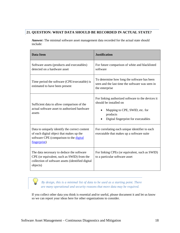#### <span id="page-18-0"></span>**21. QUESTION: WHAT DATA SHOULD BE RECORDED IN ACTUAL STATE?**

**Answer:** The minimal software asset management data recorded for the actual state should include:

| <b>Data Item</b>                                                                                                                                         | <b>Justification</b>                                                                                                                                             |  |
|----------------------------------------------------------------------------------------------------------------------------------------------------------|------------------------------------------------------------------------------------------------------------------------------------------------------------------|--|
| Software assets (products and executables)<br>detected on a hardware asset                                                                               | For future comparison of white and blacklisted<br>software                                                                                                       |  |
| Time period the software (CPE/executable) is<br>estimated to have been present                                                                           | To determine how long the software has been<br>seen and the last time the software was seen in<br>the enterprise                                                 |  |
| Sufficient data to allow comparison of the<br>actual software asset to authorized hardware<br>assets                                                     | For linking authorized software to the devices it<br>should be installed on<br>Mapping to CPE, SWID, etc. for<br>products<br>Digital fingerprint for executables |  |
| Data to uniquely identify the correct content<br>of each digital object that makes up the<br>software CPE (comparison to the digital<br>fingerprint)     | For correlating each unique identifier to each<br>executable that makes up a software suite                                                                      |  |
| The data necessary to deduce the software<br>CPE (or equivalent, such as SWID) from the<br>collection of software assets (identified digital<br>objects) | For linking CPEs (or equivalent, such as SWID)<br>to a particular software asset                                                                                 |  |

 *By design, this is a minimal list of data to be used as a starting point. There are many operational and security reasons that more data may be required.* 

If you collect other data you think is essential and/or useful, please document it and let us know so we can report your ideas here for other organizations to consider.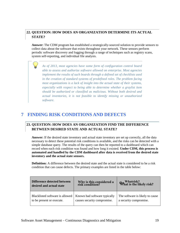## <span id="page-19-0"></span>**22. QUESTION: HOW DOES AN ORGANIZATION DETERMINE ITS ACTUAL STATE?**

**Answer:** The CDM program has established a strategically-sourced solution to provide sensors to collect data about the software that exists throughout your network. These sensors perform periodic software discovery and logging through a range of techniques such as registry scans, system self-reporting, and individual file analysis.

*As of 2013, most agencies have some form of configuration control board able to assess and authorize software allowed on enterprise. Most agencies implement the results of such boards through a defined set of checklists used in the creation of standard systems of predefined roles. The problem facing most organizations is a lack of insight into the actual state of their systems, especially with respect to being able to determine whether a graylist item should be authorized or classified as malicious. Without both desired and actual inventories, it is not feasible to identify missing or unauthorized software.* 

## <span id="page-19-2"></span><span id="page-19-1"></span>**7 FINDING RISK CONDITIONS AND DEFECTS**

#### **23. QUESTION: HOW DOES AN ORGANIZATION FIND THE DIFFERENCE BETWEEN DESIRED STATE AND ACTUAL STATE?**

Answer: If the desired state inventory and actual state inventory are set up correctly, all the data necessary to detect these potential risk conditions is available, and the risks can be detected with a simple database query. The results of the query can then be reported to a dashboard which can record when each risk condition was found and how long it existed. **Under CDM, this process is automated and handled by the CDM dashboard after data is received from the desired state inventory and the actual state sensors.**

**Definition:** A difference between the desired state and the actual state is considered to be a risk condition that can cause defects. The primary examples are listed in the table below:

| Difference detected between<br>desired and actual state | Why is this considered a<br>risk condition? | the Whatrisk?<br>What is the likely risk? |
|---------------------------------------------------------|---------------------------------------------|-------------------------------------------|
| Blacklisted software is allowed                         | Known bad software typically                | The software is likely to cause           |
| to be present or execute.                               | causes security compromise.                 | a security compromise.                    |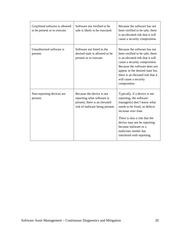| Graylisted software is allowed<br>to be present or to execute. | Software not verified to be<br>safe is likely to be executed.                                                              | Because the software has not<br>been verified to be safe, there<br>is an elevated risk that it will<br>cause a security compromise.                                                                                                                                                           |
|----------------------------------------------------------------|----------------------------------------------------------------------------------------------------------------------------|-----------------------------------------------------------------------------------------------------------------------------------------------------------------------------------------------------------------------------------------------------------------------------------------------|
| Unauthorized software is<br>present.                           | Software not listed in the<br>desired state is allowed to be<br>present or to execute.                                     | Because the software has not<br>been verified to be safe, there<br>is an elevated risk that it will<br>cause a security compromise.<br>Because the software does not<br>appear in the desired state list,<br>there is an elevated risk that it<br>will cause a security<br>compromise.        |
| Non-reporting devices are<br>present.                          | Because the device is not<br>reporting what software is<br>present, there is an elevated<br>risk of malware being present. | Typically, if a device is not<br>reporting, the software<br>manager(s) don't know what<br>needs to be fixed, so defects<br>increase over time.<br>There is also a risk that the<br>device may not be reporting<br>because malware or a<br>malicious insider has<br>interfered with reporting. |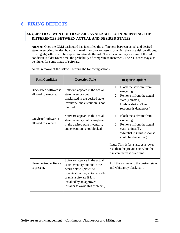# <span id="page-21-1"></span><span id="page-21-0"></span>**8 FIXING DEFECTS**

#### **24. QUESTION: WHAT OPTIONS ARE AVAILABLE FOR ADDRESSING THE DIFFERENCES BETWEEN ACTUAL AND DESIRED STATE?**

**Answer:** Once the CDM dashboard has identified the differences between actual and desired state inventories, the dashboard will mark the software assets for which there are risk conditions. Scoring algorithms will be applied to estimate the risk. The risk score may increase if the risk condition is older (over time, the probability of compromise increases). The risk score may also be higher for some kinds of software.

| <b>Risk Condition</b>                          | <b>Detection Rule</b>                                                                                                                                                                                                         | <b>Response Options</b>                                                                                                                                                                                                                                                        |  |
|------------------------------------------------|-------------------------------------------------------------------------------------------------------------------------------------------------------------------------------------------------------------------------------|--------------------------------------------------------------------------------------------------------------------------------------------------------------------------------------------------------------------------------------------------------------------------------|--|
| Blacklisted software is<br>allowed to execute. | Software appears in the actual<br>state inventory but is<br>blacklisted in the desired state<br>inventory, and execution is not<br>blocked.                                                                                   | Block the software from<br>$1 \quad$<br>executing.<br>Remove it from the actual<br>2 <sup>1</sup><br>state (uninstall).<br>3.<br>Un-blacklist it. (This<br>response is dangerous.)                                                                                             |  |
| Graylisted software is<br>allowed to execute.  | Software appears in the actual<br>state inventory but is graylisted<br>in the desired state inventory,<br>and execution is not blocked.                                                                                       | 1. Block the software from<br>executing.<br>Remove it from the actual<br>2.<br>state (uninstall).<br>Whitelist it. (This response<br>3.<br>could be dangerous.)<br>Issue: This defect starts as a lower<br>risk than the previous one, but the<br>risk can increase over time. |  |
| Unauthorized software<br>is present.           | Software appears in the actual<br>state inventory but not in the<br>desired state. (Note: An<br>organization may automatically<br>graylist software if it is<br>installed by an approved<br>installer to avoid this problem.) | Add the software to the desired state,<br>and white/gray/blacklist it.                                                                                                                                                                                                         |  |

Actual removal of the risk will require the following actions: